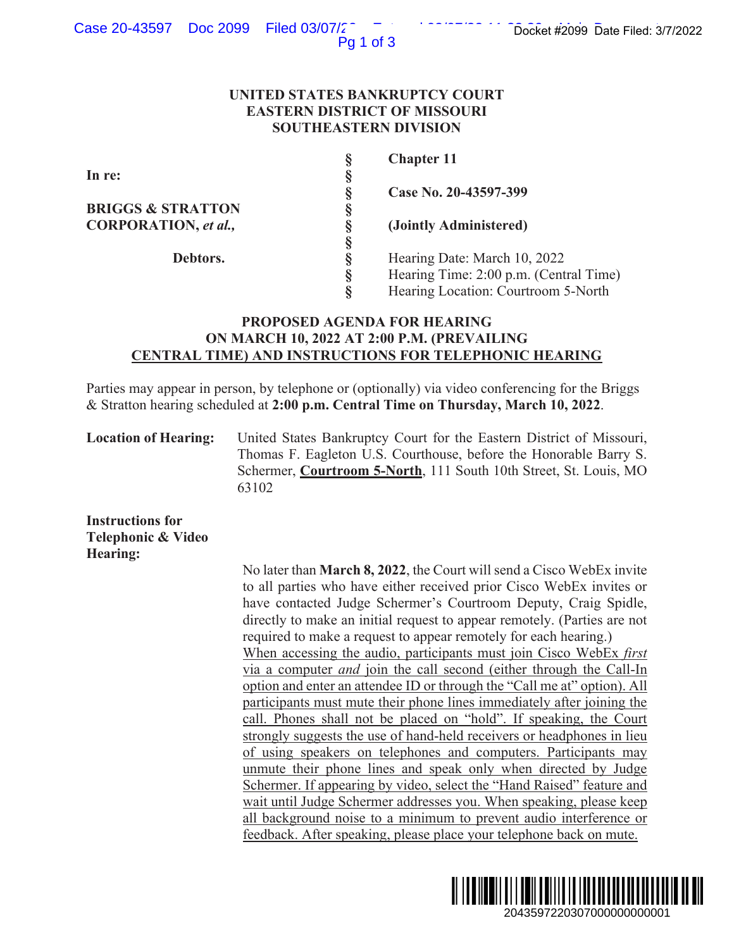## Case 20-43597 Doc 2099 Filed 03/07/2

Pg 1 of 3

#### **UNITED STATES BANKRUPTCY COURT EASTERN DISTRICT OF MISSOURI SOUTHEASTERN DIVISION**

|                              | Š | <b>Chapter 11</b>                      |
|------------------------------|---|----------------------------------------|
| In re:                       | ş |                                        |
|                              | ş | Case No. 20-43597-399                  |
| <b>BRIGGS &amp; STRATTON</b> | ş |                                        |
| CORPORATION, et al.,         | 8 | (Jointly Administered)                 |
|                              | Ş |                                        |
| Debtors.                     | ş | Hearing Date: March 10, 2022           |
|                              | ş | Hearing Time: 2:00 p.m. (Central Time) |
|                              | Ş | Hearing Location: Courtroom 5-North    |

### **PROPOSED AGENDA FOR HEARING ON MARCH 10, 2022 AT 2:00 P.M. (PREVAILING CENTRAL TIME) AND INSTRUCTIONS FOR TELEPHONIC HEARING**

Parties may appear in person, by telephone or (optionally) via video conferencing for the Briggs & Stratton hearing scheduled at **2:00 p.m. Central Time on Thursday, March 10, 2022**.

**Location of Hearing:** United States Bankruptcy Court for the Eastern District of Missouri, Thomas F. Eagleton U.S. Courthouse, before the Honorable Barry S. Schermer, **Courtroom 5-North**, 111 South 10th Street, St. Louis, MO 63102

**Instructions for Telephonic & Video Hearing:** 

 No later than **March 8, 2022**, the Court will send a Cisco WebEx invite to all parties who have either received prior Cisco WebEx invites or have contacted Judge Schermer's Courtroom Deputy, Craig Spidle, directly to make an initial request to appear remotely. (Parties are not required to make a request to appear remotely for each hearing.) When accessing the audio, participants must join Cisco WebEx *first*  via a computer *and* join the call second (either through the Call-In option and enter an attendee ID or through the "Call me at" option). All participants must mute their phone lines immediately after joining the call. Phones shall not be placed on "hold". If speaking, the Court strongly suggests the use of hand-held receivers or headphones in lieu of using speakers on telephones and computers. Participants may unmute their phone lines and speak only when directed by Judge Schermer. If appearing by video, select the "Hand Raised" feature and wait until Judge Schermer addresses you. When speaking, please keep all background noise to a minimum to prevent audio interference or feedback. After speaking, please place your telephone back on mute. 2068<br>
20099 Date Filed: 37/2022<br>
2040<br>
2010<br>
2010<br>
2010<br>
2010<br>
2010<br>
2010<br>
2010<br>
2010<br>
2010<br>
2010<br>
2010<br>
2010<br>
2010<br>
2010<br>
2010<br>
2010<br>
2010<br>
2010<br>
2010<br>
2010<br>
2010<br>
2010<br>
2010<br>
2010<br>
2010<br>
2010<br>
2010<br>
2010<br>
2010<br>
2010<br>
20

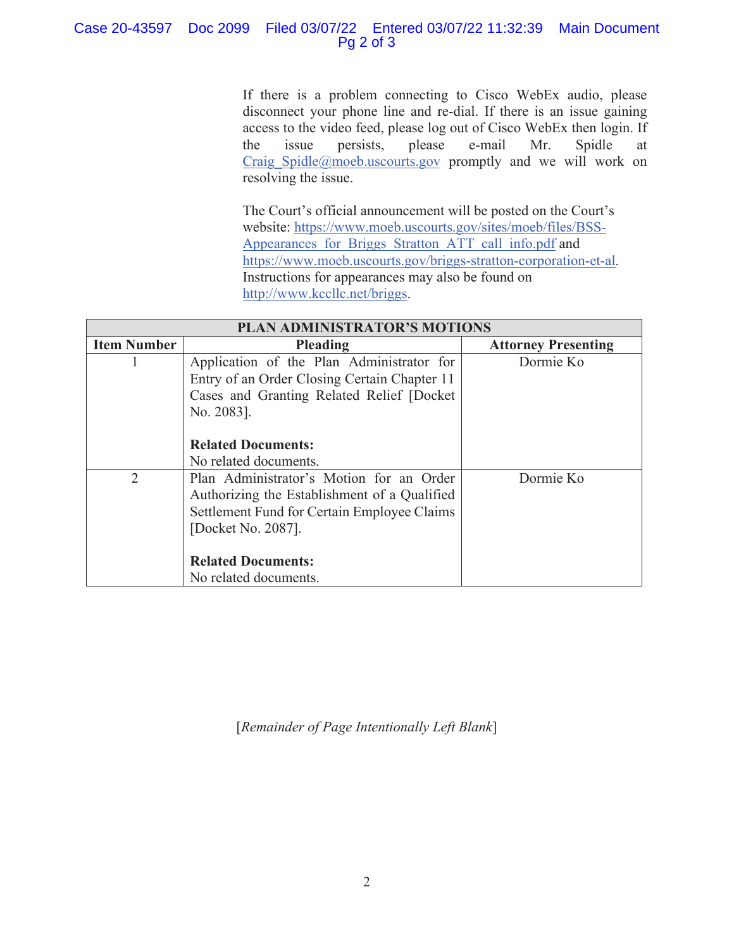### Case 20-43597 Doc 2099 Filed 03/07/22 Entered 03/07/22 11:32:39 Main Document Pg 2 of 3

 If there is a problem connecting to Cisco WebEx audio, please disconnect your phone line and re-dial. If there is an issue gaining access to the video feed, please log out of Cisco WebEx then login. If the issue persists, please e-mail Mr. Spidle at Craig Spidle@moeb.uscourts.gov promptly and we will work on resolving the issue.

The Court's official announcement will be posted on the Court's website: https://www.moeb.uscourts.gov/sites/moeb/files/BSS-Appearances for Briggs Stratton ATT call info.pdf and https://www.moeb.uscourts.gov/briggs-stratton-corporation-et-al. Instructions for appearances may also be found on http://www.kccllc.net/briggs.

| <b>PLAN ADMINISTRATOR'S MOTIONS</b> |                                                                                                                                                               |                            |  |
|-------------------------------------|---------------------------------------------------------------------------------------------------------------------------------------------------------------|----------------------------|--|
| <b>Item Number</b>                  | Pleading                                                                                                                                                      | <b>Attorney Presenting</b> |  |
|                                     | Application of the Plan Administrator for<br>Entry of an Order Closing Certain Chapter 11<br>Cases and Granting Related Relief [Docket<br>No. 2083].          | Dormie Ko                  |  |
|                                     | <b>Related Documents:</b><br>No related documents.                                                                                                            |                            |  |
| $\overline{2}$                      | Plan Administrator's Motion for an Order<br>Authorizing the Establishment of a Qualified<br>Settlement Fund for Certain Employee Claims<br>[Docket No. 2087]. | Dormie Ko                  |  |
|                                     | <b>Related Documents:</b>                                                                                                                                     |                            |  |
|                                     | No related documents.                                                                                                                                         |                            |  |

[*Remainder of Page Intentionally Left Blank*]